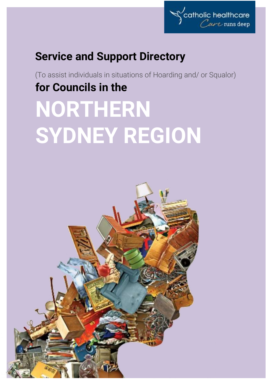

# **Service and Support Directory**

(To assist individuals in situations of Hoarding and/ or Squalor) **for Councils in the NORTHERN** 

# **SYDNEY REGION**

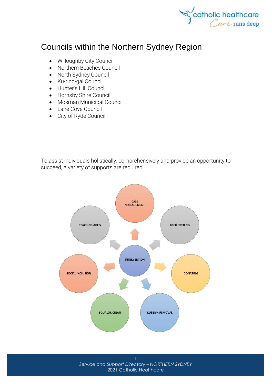

# Councils within the Northern Sydney Region

- [Willoughby City Council](http://www.willoughby.nsw.gov.au/)
- [Northern Beaches Council](http://www.northernbeaches.nsw.gov.au/)
- [North Sydney Council](http://www.northsydney.nsw.gov.au/)
- [Ku-ring-gai Council](http://www.kmc.nsw.gov.au/)
- [Hunter's Hill Council](http://www.huntershill.nsw.gov.au/)
- [Hornsby Shire Council](http://www.hornsby.nsw.gov.au/)
- [Mosman Municipal Council](http://www.mosman.nsw.gov.au/)
- [Lane Cove Council](http://www.lanecove.nsw.gov.au/)
- [City of Ryde Council](http://www.ryde.nsw.gov.au/)

To assist individuals holistically, comprehensively and provide an opportunity to succeed, a variety of supports are required.



*Service and Support Directory – NORTHERN SYDNEY* 2021 Catholic Healthcare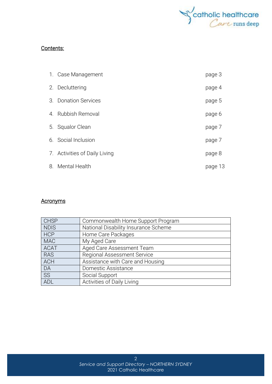

#### Contents:

|    | 1. Case Management            | page 3  |
|----|-------------------------------|---------|
|    | 2. Decluttering               | page 4  |
| 3. | <b>Donation Services</b>      | page 5  |
| 4. | Rubbish Removal               | page 6  |
|    | 5. Squalor Clean              | page 7  |
|    | 6. Social Inclusion           | page 7  |
|    | 7. Activities of Daily Living | page 8  |
| 8. | Mental Health                 | page 13 |

#### **Acronyms**

| <b>CHSP</b> | Commonwealth Home Support Program    |
|-------------|--------------------------------------|
| <b>NDIS</b> | National Disability Insurance Scheme |
| <b>HCP</b>  | Home Care Packages                   |
| <b>MAC</b>  | My Aged Care                         |
| <b>ACAT</b> | Aged Care Assessment Team            |
| <b>RAS</b>  | <b>Regional Assessment Service</b>   |
| <b>ACH</b>  | Assistance with Care and Housing     |
| DA          | Domestic Assistance                  |
| <b>SS</b>   | Social Support                       |
| <b>ADL</b>  | Activities of Daily Living           |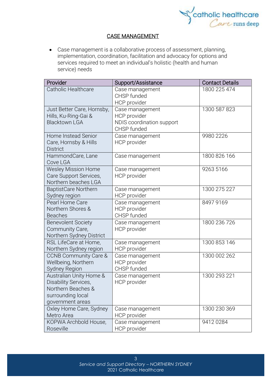

#### CASE MANAGEMENT

• Case management is a collaborative process of assessment, planning, implementation, coordination, facilitation and advocacy for options and services required to meet an individual's holistic (health and human service) needs

| Provider                                 | Support/Assistance              | <b>Contact Details</b> |
|------------------------------------------|---------------------------------|------------------------|
| Catholic Healthcare                      | Case management                 | 1800 225 474           |
|                                          | CHSP funded                     |                        |
| Just Better Care, Hornsby,               | HCP provider                    | 1300 587 823           |
| Hills, Ku-Ring-Gai &                     | Case management<br>HCP provider |                        |
| <b>Blacktown LGA</b>                     | NDIS coordination support       |                        |
|                                          | CHSP funded                     |                        |
| <b>Home Instead Senior</b>               | Case management                 | 9980 2226              |
| Care, Hornsby & Hills                    | <b>HCP</b> provider             |                        |
| <b>District</b>                          |                                 |                        |
| HammondCare, Lane<br>Cove LGA            | Case management                 | 1800 826 166           |
| <b>Wesley Mission Home</b>               | Case management                 | 9263 5166              |
| Care Support Services,                   | <b>HCP</b> provider             |                        |
| Northern beaches LGA                     |                                 |                        |
| BaptistCare Northern                     | Case management                 | 1300 275 227           |
| Sydney region<br>Pearl Home Care         | HCP provider<br>Case management | 8497 9169              |
| Northern Shores &                        | HCP provider                    |                        |
| <b>Beaches</b>                           | CHSP funded                     |                        |
| <b>Benevolent Society</b>                | Case management                 | 1800 236 726           |
| Community Care,                          | <b>HCP</b> provider             |                        |
| Northern Sydney District                 |                                 |                        |
| RSL LifeCare at Home,                    | Case management                 | 1300 853 146           |
| Northern Sydney region                   | HCP provider                    |                        |
| <b>CCNB Community Care &amp;</b>         | Case management                 | 1300 002 262           |
| Wellbeing, Northern                      | HCP provider<br>CHSP funded     |                        |
| Sydney Region<br>Australian Unity Home & | Case management                 | 1300 293 221           |
| <b>Disability Services</b>               | HCP provider                    |                        |
| Northern Beaches &                       |                                 |                        |
| surrounding local                        |                                 |                        |
| government areas                         |                                 |                        |
| Oxley Home Care, Sydney                  | Case management                 | 1300 230 369           |
| Metro Area                               | HCP provider                    |                        |
| KOPWA Archbold House,                    | Case management                 | 94120284               |
| Roseville                                | HCP provider                    |                        |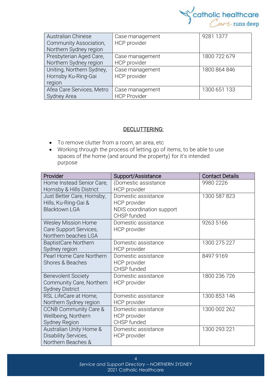

| <b>Australian Chinese</b>     | Case management     | 9281 1377    |
|-------------------------------|---------------------|--------------|
| <b>Community Association,</b> | HCP provider        |              |
| Northern Sydney region        |                     |              |
| Presbyterian Aged Care,       | Case management     | 1800 722 679 |
| Northern Sydney region        | <b>HCP</b> provider |              |
| Uniting, Northern Sydney,     | Case management     | 1800 864 846 |
| Hornsby Ku-Ring-Gai           | HCP provider        |              |
| region                        |                     |              |
| Afea Care Services, Metro     | Case management     | 1300 651 133 |
| Sydney Area                   | <b>HCP Provider</b> |              |

#### DECLUTTERING:

- To remove clutter from a room, an area, etc
- Working through the process of letting go of items, to be able to use spaces of the home (and around the property) for it's intended purpose

| Provider                         | Support/Assistance        | <b>Contact Details</b> |
|----------------------------------|---------------------------|------------------------|
| Home Instead Senior Care,        | (Domestic assistance      | 9980 2226              |
| Hornsby & Hills District         | <b>HCP</b> provider       |                        |
| Just Better Care, Hornsby,       | Domestic assistance       | 1300 587 823           |
| Hills, Ku-Ring-Gai &             | HCP provider              |                        |
| <b>Blacktown LGA</b>             | NDIS coordination support |                        |
|                                  | CHSP funded               |                        |
| <b>Wesley Mission Home</b>       | Domestic assistance       | 9263 5166              |
| Care Support Services,           | HCP provider              |                        |
| Northern beaches LGA             |                           |                        |
| <b>BaptistCare Northern</b>      | Domestic assistance       | 1300 275 227           |
| Sydney region                    | HCP provider              |                        |
| Pearl Home Care Northern         | Domestic assistance       | 8497 9169              |
| Shores & Beaches                 | HCP provider              |                        |
|                                  | CHSP funded               |                        |
| <b>Benevolent Society</b>        | Domestic assistance       | 1800 236 726           |
| Community Care, Northern         | HCP provider              |                        |
| <b>Sydney District</b>           |                           |                        |
| RSL LifeCare at Home,            | Domestic assistance       | 1300 853 146           |
| Northern Sydney region           | HCP provider              |                        |
| <b>CCNB Community Care &amp;</b> | Domestic assistance       | 1300 002 262           |
| Wellbeing, Northern              | <b>HCP</b> provider       |                        |
| Sydney Region                    | CHSP funded               |                        |
| Australian Unity Home &          | Domestic assistance       | 1300 293 221           |
| Disability Services,             | HCP provider              |                        |
| Northern Beaches &               |                           |                        |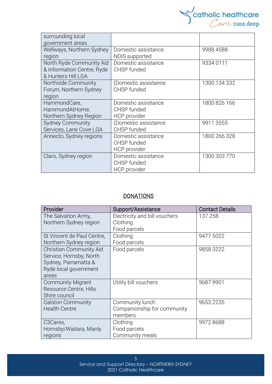

| surrounding local          |                      |              |
|----------------------------|----------------------|--------------|
| government areas           |                      |              |
| Wellways, Northern Sydney  | Domestic assistance  | 9988 4588    |
| region                     | NDIS supported       |              |
| North Ryde Community Aid   | Domestic assistance  | 9334 0111    |
| & Information Centre, Ryde | CHSP funded          |              |
| & Hunters Hill LGA         |                      |              |
| Northside Community        | Domestic assistance) | 1300 134 332 |
| Forum, Northern Sydney     | CHSP funded          |              |
| region                     |                      |              |
| HammondCare,               | Domestic assistance  | 1800 826 166 |
| HammondAtHome,             | CHSP funded          |              |
| Northern Sydney Region     | HCP provider         |              |
| <b>Sydney Community</b>    | Domestic assistance) | 9911 3555    |
| Services, Lane Cove LGA    | CHSP funded          |              |
| Annecto, Sydney regions    | Domestic assistance  | 1800 266 328 |
|                            | CHSP funded          |              |
|                            | HCP provider         |              |
| Claro, Sydney region       | Domestic assistance  | 1300 303 770 |
|                            | CHSP funded          |              |
|                            | HCP provider         |              |

## **DONATIONS**

| Provider                   | Support/Assistance            | <b>Contact Details</b> |
|----------------------------|-------------------------------|------------------------|
| The Salvation Army,        | Electricity and bill vouchers | 137 258                |
| Northern Sydney region     | Clothing                      |                        |
|                            | Food parcels                  |                        |
| St Vincent de Paul Centre, | Clothing                      | 9477 5022              |
| Northern Sydney region     | Food parcels                  |                        |
| Christian Community Aid    | Food parcels                  | 9858 3222              |
| Service, Hornsby, North    |                               |                        |
| Sydney, Parramatta &       |                               |                        |
| Ryde local government      |                               |                        |
| areas                      |                               |                        |
| <b>Community Migrant</b>   | Utility bill vouchers         | 9687 9901              |
| Resource Centre, Hills     |                               |                        |
| Shire council              |                               |                        |
| <b>Galston Community</b>   | Community lunch               | 9653 2235              |
| <b>Health Centre</b>       | Companionship for community   |                        |
|                            | members                       |                        |
| C <sub>3</sub> Cares,      | Clothing                      | 9972 8688              |
| Hornsby/Waitara, Manly     | Food parcels                  |                        |
| regions                    | Community meals               |                        |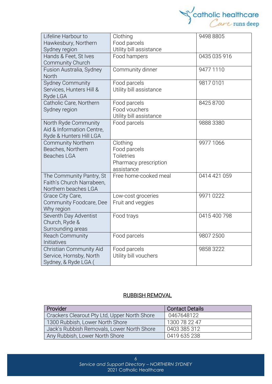

| Lifeline Harbour to       | Clothing                | 9498 8805    |
|---------------------------|-------------------------|--------------|
| Hawkesbury, Northern      | Food parcels            |              |
| Sydney region             | Utility bill assistance |              |
| Hands & Feet, St Ives     | Food hampers            | 0435 035 916 |
| Community Church          |                         |              |
| Fusion Australia, Sydney  | Community dinner        | 9477 1110    |
| North                     |                         |              |
| <b>Sydney Community</b>   | Food parcels            | 98170101     |
| Services, Hunters Hill &  | Utility bill assistance |              |
| Ryde LGA                  |                         |              |
| Catholic Care, Northern   | Food parcels            | 8425 8700    |
| Sydney region             | Food vouchers           |              |
|                           | Utility bill assistance |              |
| North Ryde Community      | Food parcels            | 9888 3380    |
| Aid & Information Centre, |                         |              |
| Ryde & Hunters Hill LGA   |                         |              |
| <b>Community Northern</b> | Clothing                | 9977 1066    |
| Beaches, Northern         | Food parcels            |              |
| <b>Beaches LGA</b>        | <b>Toiletries</b>       |              |
|                           | Pharmacy prescription   |              |
|                           | assistance              |              |
| The Community Pantry, St  | Free home-cooked meal   | 0414 421 059 |
| Faith's Church Narrabeen, |                         |              |
| Northern beaches LGA      |                         |              |
| Grace City Care,          | Low-cost groceries      | 9971 0222    |
| Community Foodcare, Dee   | Fruit and veggies       |              |
| Why region                |                         |              |
| Seventh Day Adventist     | Food trays              | 0415 400 798 |
| Church, Ryde &            |                         |              |
| Surrounding areas         |                         |              |
| <b>Reach Community</b>    | Food parcels            | 9807 2500    |
| Initiatives               |                         |              |
| Christian Community Aid   | Food parcels            | 9858 3222    |
| Service, Hornsby, North   | Utility bill vouchers   |              |
| Sydney, & Ryde LGA (      |                         |              |

# RUBBISH REMOVAL

| Provider                                     | <b>Contact Details</b> |
|----------------------------------------------|------------------------|
| Crackers Clearout Pty Ltd, Upper North Shore | 0467648122             |
| 1300 Rubbish, Lower North Shore              | 1300 78 22 47          |
| Jack's Rubbish Removals, Lower North Shore   | 0403 385 312           |
| Any Rubbish, Lower North Shore               | 0419 635 238           |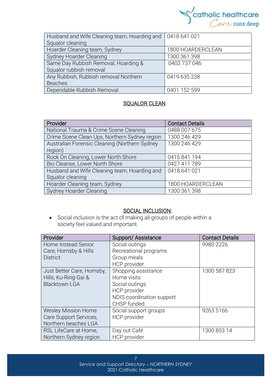

| Husband and Wife Cleaning team, Hoarding and   0418 641 021 |                   |
|-------------------------------------------------------------|-------------------|
| Squalor cleaning                                            |                   |
| Hoarder Cleaning team, Sydney                               | 1800 HOARDERCLEAN |
| Sydney Hoarder Cleaning                                     | 1300 361 398      |
| Same Day Rubbish Removal, Hoarding &                        | 0402 737 046      |
| Squalor rubbish removal                                     |                   |
| Any Rubbish, Rubbish removal Northern                       | 0419 635 238      |
| <b>Beaches</b>                                              |                   |
| Dependable Rubbish Removal                                  | 0401 152 599      |

#### <u>SQUALOR CLEAN</u>

| Provider                                      | <b>Contact Details</b> |
|-----------------------------------------------|------------------------|
| National Trauma & Crime Scene Cleaning        | 0488 007 675           |
| Crime Scene Clean Ups, Northern Sydney region | 1300 246 429           |
| Australian Forensic Cleaning (Northern Sydney | 1300 246 429           |
| region)                                       |                        |
| Rock On Cleaning, Lower North Shore           | 0415841194             |
| Bio Cleanse, Lower North Shore                | 0427 411 789           |
| Husband and Wife Cleaning team, Hoarding and  | 0418 641 021           |
| Squalor cleaning                              |                        |
| Hoarder Cleaning team, Sydney                 | 1800 HOARDERCLEAN      |
| Sydney Hoarder Cleaning                       | 1300 361 398           |

#### SOCIAL INCLUSION:

• Social [inclusion](https://www.collinsdictionary.com/dictionary/english/inclusion) is the act of making all groups of people within a society [feel](https://www.collinsdictionary.com/dictionary/english/feel) valued and [important.](https://www.collinsdictionary.com/dictionary/english/important)

| Provider                   | Support/Assistance        | <b>Contact Details</b> |
|----------------------------|---------------------------|------------------------|
| Home Instead Senior        | Social outings            | 9980 2226              |
| Care, Hornsby & Hills      | Recreational programs     |                        |
| <b>District</b>            | Group meals               |                        |
|                            | <b>HCP</b> provider       |                        |
| Just Better Care, Hornsby, | Shopping assistance       | 1300 587 823           |
| Hills, Ku-Ring-Gai &       | Home visits               |                        |
| <b>Blacktown LGA</b>       | Social outings            |                        |
|                            | <b>HCP</b> provider       |                        |
|                            | NDIS coordination support |                        |
|                            | CHSP funded               |                        |
| <b>Wesley Mission Home</b> | Social support groups     | 9263 5166              |
| Care Support Services,     | <b>HCP</b> provider       |                        |
| Northern beaches LGA       |                           |                        |
| RSL LifeCare at Home,      | Day out Café              | 1300 853 14            |
| Northern Sydney region     | <b>HCP</b> provider       |                        |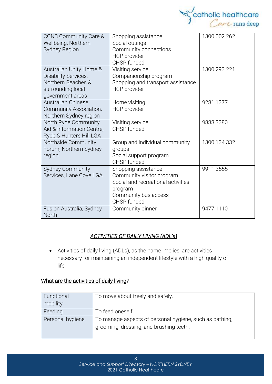

| <b>CCNB Community Care &amp;</b><br>Wellbeing, Northern<br><b>Sydney Region</b>                                | Shopping assistance<br>Social outings<br>Community connections<br>HCP provider<br>CHSP funded                                            | 1300 002 262 |
|----------------------------------------------------------------------------------------------------------------|------------------------------------------------------------------------------------------------------------------------------------------|--------------|
| Australian Unity Home &<br>Disability Services,<br>Northern Beaches &<br>surrounding local<br>government areas | Visiting service<br>Companionship program<br>Shopping and transport assistance<br><b>HCP</b> provider                                    | 1300 293 221 |
| <b>Australian Chinese</b><br>Community Association,<br>Northern Sydney region                                  | Home visiting<br>HCP provider                                                                                                            | 9281 1377    |
| North Ryde Community<br>Aid & Information Centre,<br>Ryde & Hunters Hill LGA                                   | Visiting service<br>CHSP funded                                                                                                          | 9888 3380    |
| Northside Community<br>Forum, Northern Sydney<br>region                                                        | Group and individual community<br>groups<br>Social support program<br>CHSP funded                                                        | 1300 134 332 |
| <b>Sydney Community</b><br>Services, Lane Cove LGA                                                             | Shopping assistance<br>Community visitor program<br>Social and recreational activities<br>program<br>Community bus access<br>CHSP funded | 9911 3555    |
| Fusion Australia, Sydney<br><b>North</b>                                                                       | Community dinner                                                                                                                         | 9477 1110    |

#### *ACTIVITIES OF DAILY LIVING (ADL's)*

• Activities of daily living (ADLs), as the name implies, are activities necessary for maintaining an independent lifestyle with a high quality of life.

## What are the activities of daily living*?*

| Functional        | To move about freely and safely.                                                                   |
|-------------------|----------------------------------------------------------------------------------------------------|
| mobility:         |                                                                                                    |
| Feeding           | To feed oneself                                                                                    |
| Personal hygiene: | To manage aspects of personal hygiene, such as bathing,<br>grooming, dressing, and brushing teeth. |

8 *Service and Support Directory – NORTHERN SYDNEY* 2021 Catholic Healthcare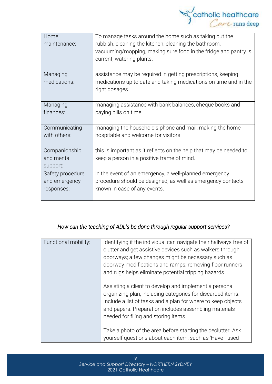

| Home<br>maintenance: | To manage tasks around the home such as taking out the<br>rubbish, cleaning the kitchen, cleaning the bathroom,<br>vacuuming/mopping, making sure food in the fridge and pantry is<br>current, watering plants. |
|----------------------|-----------------------------------------------------------------------------------------------------------------------------------------------------------------------------------------------------------------|
| Managing             | assistance may be required in getting prescriptions, keeping                                                                                                                                                    |
| medications:         | medications up to date and taking medications on time and in the<br>right dosages.                                                                                                                              |
| Managing             | managing assistance with bank balances, cheque books and                                                                                                                                                        |
| finances:            | paying bills on time                                                                                                                                                                                            |
| Communicating        | managing the household's phone and mail, making the home                                                                                                                                                        |
| with others:         | hospitable and welcome for visitors.                                                                                                                                                                            |
| Companionship        | this is important as it reflects on the help that may be needed to                                                                                                                                              |
| and mental           | keep a person in a positive frame of mind.                                                                                                                                                                      |
| support:             |                                                                                                                                                                                                                 |
| Safety procedure     | in the event of an emergency, a well-planned emergency                                                                                                                                                          |
| and emergency        | procedure should be designed; as well as emergency contacts                                                                                                                                                     |
| responses:           | known in case of any events.                                                                                                                                                                                    |

#### *How can the teaching of ADL's be done through regular support services?*

| Functional mobility: | Identifying if the individual can navigate their hallways free of<br>clutter and get assistive devices such as walkers through<br>doorways; a few changes might be necessary such as<br>doorway modifications and ramps; removing floor runners<br>and rugs helps eliminate potential tripping hazards. |
|----------------------|---------------------------------------------------------------------------------------------------------------------------------------------------------------------------------------------------------------------------------------------------------------------------------------------------------|
|                      | Assisting a client to develop and implement a personal<br>organizing plan, including categories for discarded items.<br>Include a list of tasks and a plan for where to keep objects<br>and papers. Preparation includes assembling materials<br>needed for filing and storing items.                   |
|                      | Take a photo of the area before starting the declutter. Ask<br>yourself questions about each item, such as 'Have I used                                                                                                                                                                                 |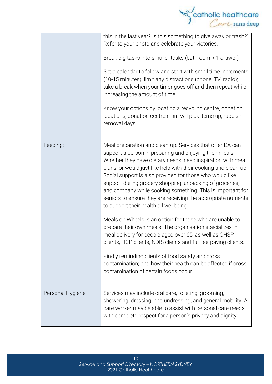

|                   | this in the last year? Is this something to give away or trash?'<br>Refer to your photo and celebrate your victories.<br>Break big tasks into smaller tasks (bathroom-> 1 drawer)<br>Set a calendar to follow and start with small time increments<br>(10-15 minutes); limit any distractions (phone, TV, radio);<br>take a break when your timer goes off and then repeat while<br>increasing the amount of time<br>Know your options by locating a recycling centre, donation<br>locations, donation centres that will pick items up, rubbish<br>removal days |
|-------------------|-----------------------------------------------------------------------------------------------------------------------------------------------------------------------------------------------------------------------------------------------------------------------------------------------------------------------------------------------------------------------------------------------------------------------------------------------------------------------------------------------------------------------------------------------------------------|
| Feeding:          | Meal preparation and clean-up. Services that offer DA can<br>support a person in preparing and enjoying their meals.<br>Whether they have dietary needs, need inspiration with meal<br>plans, or would just like help with their cooking and clean-up.<br>Social support is also provided for those who would like<br>support during grocery shopping, unpacking of groceries,<br>and company while cooking something. This is important for<br>seniors to ensure they are receiving the appropriate nutrients<br>to support their health all wellbeing.        |
|                   | Meals on Wheels is an option for those who are unable to<br>prepare their own meals. The organisation specializes in<br>meal delivery for people aged over 65, as well as CHSP<br>clients, HCP clients, NDIS clients and full fee-paying clients.<br>Kindly reminding clients of food safety and cross<br>contamination; and how their health can be affected if cross<br>contamination of certain foods occur.                                                                                                                                                 |
| Personal Hygiene: | Services may include oral care, toileting, grooming,<br>showering, dressing, and undressing, and general mobility. A<br>care worker may be able to assist with personal care needs<br>with complete respect for a person's privacy and dignity.                                                                                                                                                                                                                                                                                                                 |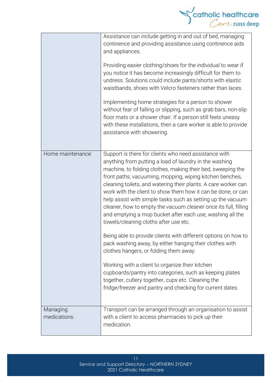|                          | $\int_{\text{center}}^{\text{catholic healthcare}}$                                                                                                                                                                                                                                                                                                                                                                                                                                                                                                                                                                  |
|--------------------------|----------------------------------------------------------------------------------------------------------------------------------------------------------------------------------------------------------------------------------------------------------------------------------------------------------------------------------------------------------------------------------------------------------------------------------------------------------------------------------------------------------------------------------------------------------------------------------------------------------------------|
|                          | Assistance can include getting in and out of bed, managing<br>continence and providing assistance using continence aids<br>and appliances.                                                                                                                                                                                                                                                                                                                                                                                                                                                                           |
|                          | Providing easier clothing/shoes for the individual to wear if<br>you notice it has become increasingly difficult for them to<br>undress. Solutions could include pants/shorts with elastic<br>waistbands, shoes with Velcro fasteners rather than laces.                                                                                                                                                                                                                                                                                                                                                             |
|                          | Implementing home strategies for a person to shower<br>without fear of falling or slipping, such as grab bars, non-slip<br>floor mats or a shower chair. If a person still feels uneasy<br>with these installations, then a care worker is able to provide<br>assistance with showering.                                                                                                                                                                                                                                                                                                                             |
| Home maintenance:        | Support is there for clients who need assistance with<br>anything from putting a load of laundry in the washing<br>machine, to folding clothes, making their bed, sweeping the<br>front paths, vacuuming, mopping, wiping kitchen benches,<br>cleaning toilets, and watering their plants. A care worker can<br>work with the client to show them how it can be done, or can<br>help assist with simple tasks such as setting up the vacuum<br>cleaner, how to empty the vacuum cleaner once its full, filling<br>and emptying a mop bucket after each use, washing all the<br>towels/cleaning cloths after use etc. |
|                          | Being able to provide clients with different options on how to<br>pack washing away, by either hanging their clothes with<br>clothes hangers, or folding them away.                                                                                                                                                                                                                                                                                                                                                                                                                                                  |
|                          | Working with a client to organize their kitchen<br>cupboards/pantry into categories, such as keeping plates<br>together, cutlery together, cups etc. Cleaning the<br>fridge/freezer and pantry and checking for current dates.                                                                                                                                                                                                                                                                                                                                                                                       |
| Managing<br>medications: | Transport can be arranged through an organisation to assist<br>with a client to access pharmacies to pick up their<br>medication.                                                                                                                                                                                                                                                                                                                                                                                                                                                                                    |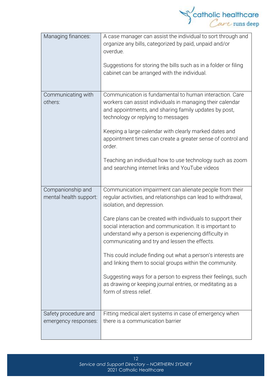

| Managing finances:                           | A case manager can assist the individual to sort through and<br>organize any bills, categorized by paid, unpaid and/or<br>overdue.<br>Suggestions for storing the bills such as in a folder or filing<br>cabinet can be arranged with the individual.                                                                                                                                                                                                                                                                                                                                                                                                                         |
|----------------------------------------------|-------------------------------------------------------------------------------------------------------------------------------------------------------------------------------------------------------------------------------------------------------------------------------------------------------------------------------------------------------------------------------------------------------------------------------------------------------------------------------------------------------------------------------------------------------------------------------------------------------------------------------------------------------------------------------|
| Communicating with<br>others:                | Communication is fundamental to human interaction. Care<br>workers can assist individuals in managing their calendar<br>and appointments, and sharing family updates by post,<br>technology or replying to messages<br>Keeping a large calendar with clearly marked dates and<br>appointment times can create a greater sense of control and<br>order.<br>Teaching an individual how to use technology such as zoom<br>and searching internet links and YouTube videos                                                                                                                                                                                                        |
|                                              |                                                                                                                                                                                                                                                                                                                                                                                                                                                                                                                                                                                                                                                                               |
| Companionship and<br>mental health support:  | Communication impairment can alienate people from their<br>regular activities, and relationships can lead to withdrawal,<br>isolation, and depression.<br>Care plans can be created with individuals to support their<br>social interaction and communication. It is important to<br>understand why a person is experiencing difficulty in<br>communicating and try and lessen the effects.<br>This could include finding out what a person's interests are<br>and linking them to social groups within the community.<br>Suggesting ways for a person to express their feelings, such<br>as drawing or keeping journal entries, or meditating as a<br>form of stress relief. |
| Safety procedure and<br>emergency responses: | Fitting medical alert systems in case of emergency when<br>there is a communication barrier                                                                                                                                                                                                                                                                                                                                                                                                                                                                                                                                                                                   |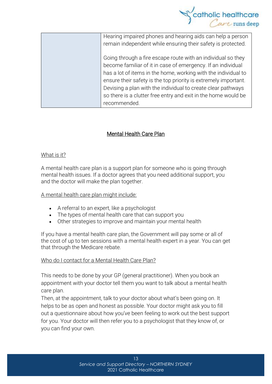

| Hearing impaired phones and hearing aids can help a person      |
|-----------------------------------------------------------------|
| remain independent while ensuring their safety is protected.    |
|                                                                 |
| Going through a fire escape route with an individual so they    |
| become familiar of it in case of emergency. If an individual    |
| has a lot of items in the home, working with the individual to  |
| ensure their safety is the top priority is extremely important. |
| Devising a plan with the individual to create clear pathways    |
| so there is a clutter free entry and exit in the home would be  |
| recommended.                                                    |
|                                                                 |

#### Mental Health Care Plan

#### What is it?

A mental health care plan is a support plan for someone who is going through mental health issues. If a doctor agrees that you need additional support, you and the doctor will make the plan together.

A mental health care plan might include:

- A referral to an expert, like a psychologist
- The types of mental health care that can support you
- Other strategies to improve and maintain your mental health

If you have a mental health care plan, the Government will pay some or all of the cost of up to ten sessions with a mental health expert in a year. You can get that through the [Medicare](https://headspace.org.au/blog/how-to-get-a-medicare-card-old/) rebate.

#### Who do I contact for a Mental Health Care Plan?

This needs to be done by your GP (general practitioner). When you book an appointment with your doctor tell them you want to talk about a mental health care plan.

Then, at the appointment, talk to your doctor about what's been going on. It helps to be as open and honest as possible. Your doctor might ask you to fill out a questionnaire about how you've been feeling to work out the best support for you. Your doctor will then refer you to a psychologist that they know of, or you can find your own.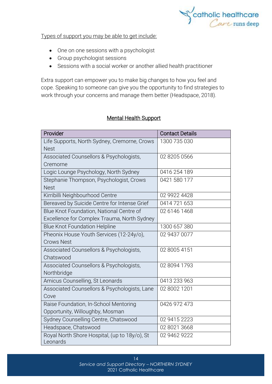

Types of support you may be able to get include:

- One on one sessions with a psychologist
- Group psychologist sessions
- Sessions with a social worker or another allied health practitioner

Extra support can empower you to make big changes to how you feel and cope. Speaking to someone can give you the opportunity to find strategies to work through your concerns and manage them better (Headspace, 2018).

#### Mental Health Support

| Provider                                                  | <b>Contact Details</b> |
|-----------------------------------------------------------|------------------------|
| Life Supports, North Sydney, Cremorne, Crows              | 1300 735 030           |
| <b>Nest</b>                                               |                        |
| Associated Counsellors & Psychologists,                   | 02 8205 0566           |
| Cremorne                                                  |                        |
| Logic Lounge Psychology, North Sydney                     | 0416 254 189           |
| Stephanie Thompson, Psychologist, Crows                   | 0421 580 177           |
| <b>Nest</b>                                               |                        |
| Kirribilli Neighbourhood Centre                           | 02 9922 4428           |
| Bereaved by Suicide Centre for Intense Grief              | 0414 721 653           |
| Blue Knot Foundation, National Centre of                  | 02 6146 1468           |
| Excellence for Complex Trauma, North Sydney               |                        |
| <b>Blue Knot Foundation Helpline</b>                      | 1300 657 380           |
| Pheonix House Youth Services (12-24y/o),                  | 02 9437 0077           |
| <b>Crows Nest</b>                                         |                        |
| Associated Counsellors & Psychologists,                   | 02 8005 4151           |
| Chatswood                                                 |                        |
| Associated Counsellors & Psychologists,                   | 02 8094 1793           |
| Northbridge                                               |                        |
| Amicus Counselling, St Leonards                           | 0413 233 963           |
| Associated Counsellors & Psychologists, Lane              | 02 8002 1201           |
| Cove                                                      |                        |
| Raise Foundation, In-School Mentoring                     | 0426 972 473           |
| Opportunity, Willoughby, Mosman                           |                        |
| Sydney Counselling Centre, Chatswood                      | 02 9415 2223           |
| Headspace, Chatswood                                      | 02 8021 3668           |
| Royal North Shore Hospital, (up to 18y/o), St<br>Leonards | 02 9462 9222           |